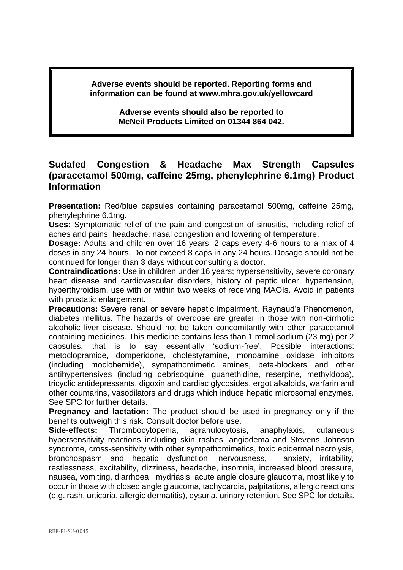**Adverse events should be reported. Reporting forms and information can be found at www.mhra.gov.uk/yellowcard**

> **Adverse events should also be reported to McNeil Products Limited on 01344 864 042.**

## **Sudafed Congestion & Headache Max Strength Capsules (paracetamol 500mg, caffeine 25mg, phenylephrine 6.1mg) Product Information**

**Presentation:** Red/blue capsules containing paracetamol 500mg, caffeine 25mg, phenylephrine 6.1mg.

**Uses:** Symptomatic relief of the pain and congestion of sinusitis, including relief of aches and pains, headache, nasal congestion and lowering of temperature.

**Dosage:** Adults and children over 16 years: 2 caps every 4-6 hours to a max of 4 doses in any 24 hours. Do not exceed 8 caps in any 24 hours. Dosage should not be continued for longer than 3 days without consulting a doctor.

**Contraindications:** Use in children under 16 years; hypersensitivity, severe coronary heart disease and cardiovascular disorders, history of peptic ulcer, hypertension, hyperthyroidism, use with or within two weeks of receiving MAOIs. Avoid in patients with prostatic enlargement.

**Precautions:** Severe renal or severe hepatic impairment, Raynaud's Phenomenon, diabetes mellitus. The hazards of overdose are greater in those with non-cirrhotic alcoholic liver disease. Should not be taken concomitantly with other paracetamol containing medicines. This medicine contains less than 1 mmol sodium (23 mg) per 2 capsules, that is to say essentially 'sodium-free'. Possible interactions: metoclopramide, domperidone, cholestyramine, monoamine oxidase inhibitors (including moclobemide), sympathomimetic amines, beta-blockers and other antihypertensives (including debrisoquine, guanethidine, reserpine, methyldopa), tricyclic antidepressants, digoxin and cardiac glycosides, ergot alkaloids, warfarin and other coumarins, vasodilators and drugs which induce hepatic microsomal enzymes. See SPC for further details.

**Pregnancy and lactation:** The product should be used in pregnancy only if the benefits outweigh this risk. Consult doctor before use.

**Side-effects:** Thrombocytopenia, agranulocytosis, anaphylaxis, cutaneous hypersensitivity reactions including skin rashes, angiodema and Stevens Johnson syndrome, cross-sensitivity with other sympathomimetics, toxic epidermal necrolysis, bronchospasm and hepatic dysfunction, nervousness, anxiety, irritability, restlessness, excitability, dizziness, headache, insomnia, increased blood pressure, nausea, vomiting, diarrhoea, mydriasis, acute angle closure glaucoma, most likely to occur in those with closed angle glaucoma, tachycardia, palpitations, allergic reactions (e.g. rash, urticaria, allergic dermatitis), dysuria, urinary retention. See SPC for details.